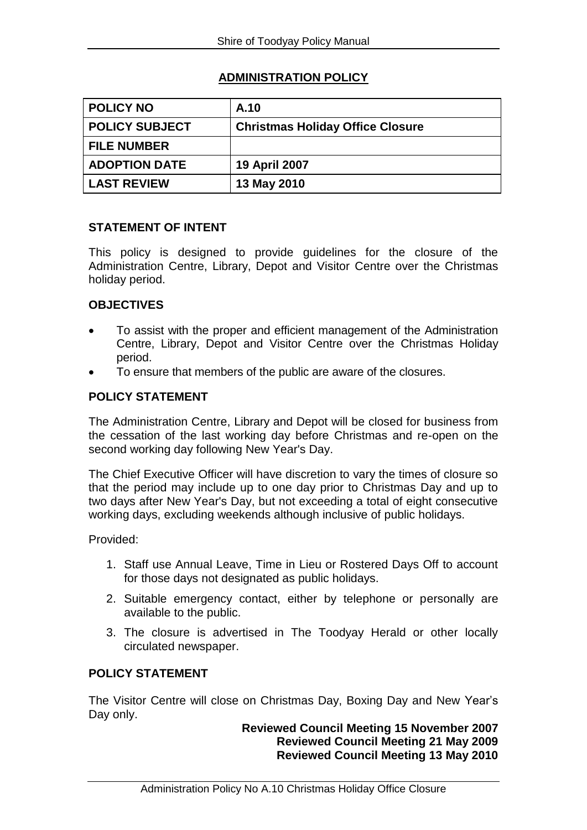# **ADMINISTRATION POLICY**

| <b>POLICY NO</b>      | A.10                                    |
|-----------------------|-----------------------------------------|
| <b>POLICY SUBJECT</b> | <b>Christmas Holiday Office Closure</b> |
| <b>FILE NUMBER</b>    |                                         |
| <b>ADOPTION DATE</b>  | 19 April 2007                           |
| <b>LAST REVIEW</b>    | 13 May 2010                             |

### **STATEMENT OF INTENT**

This policy is designed to provide guidelines for the closure of the Administration Centre, Library, Depot and Visitor Centre over the Christmas holiday period.

# **OBJECTIVES**

- To assist with the proper and efficient management of the Administration Centre, Library, Depot and Visitor Centre over the Christmas Holiday period.
- To ensure that members of the public are aware of the closures.

#### **POLICY STATEMENT**

The Administration Centre, Library and Depot will be closed for business from the cessation of the last working day before Christmas and re-open on the second working day following New Year's Day.

The Chief Executive Officer will have discretion to vary the times of closure so that the period may include up to one day prior to Christmas Day and up to two days after New Year's Day, but not exceeding a total of eight consecutive working days, excluding weekends although inclusive of public holidays.

Provided:

- 1. Staff use Annual Leave, Time in Lieu or Rostered Days Off to account for those days not designated as public holidays.
- 2. Suitable emergency contact, either by telephone or personally are available to the public.
- 3. The closure is advertised in The Toodyay Herald or other locally circulated newspaper.

#### **POLICY STATEMENT**

The Visitor Centre will close on Christmas Day, Boxing Day and New Year's Day only.

### **Reviewed Council Meeting 15 November 2007 Reviewed Council Meeting 21 May 2009 Reviewed Council Meeting 13 May 2010**